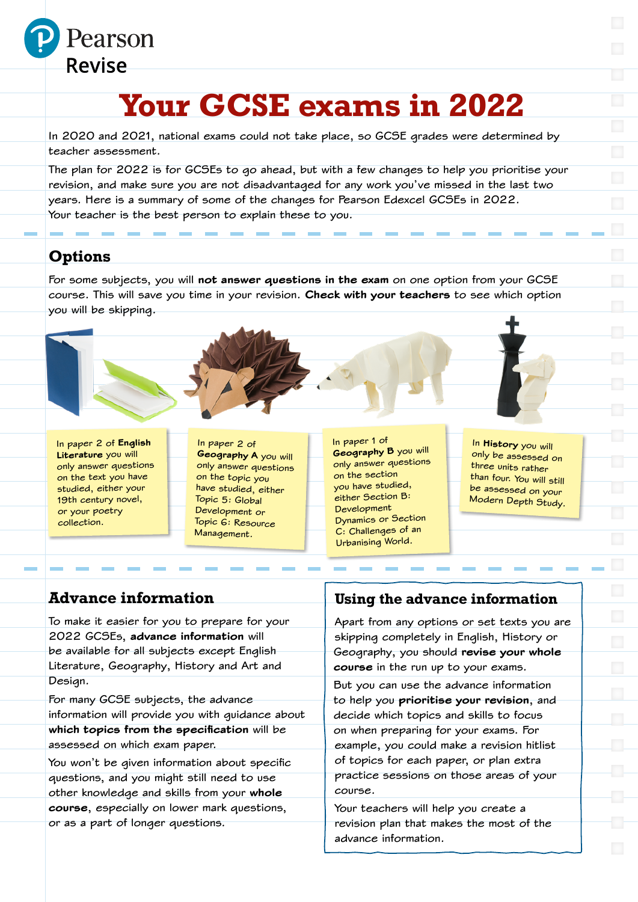

# **Your GCSE exams in 2022**

In 2020 and 2021, national exams could not take place, so GCSE grades were determined by teacher assessment.

The plan for 2022 is for GCSEs to go ahead, but with a few changes to help you prioritise your revision, and make sure you are not disadvantaged for any work you've missed in the last two years. Here is a summary of some of the changes for Pearson Edexcel GCSEs in 2022. Your teacher is the best person to explain these to you.

# **Options**

For some subjects, you will not answer questions in the exam on one option from your GCSE course. This will save you time in your revision. Check with your teachers to see which option you will be skipping.

In paper 2 of English Literature you will only answer questions on the text you have studied, either your 19th century novel, or your poetry collection.

In paper 2 of Geography A you will only answer questions on the topic you have studied, either Topic 5: Global Development or Topic 6: Resource Management.

In paper 1 of **Geography B** you will only answer questions on the section you have studied, either Section B: Development Dynamics or Section C: Challenges of an Urbanising World.

In History you will only be assessed on three units rather than four. You will still be assessed on your Modern Depth Study.

# **Advance information**

To make it easier for you to prepare for your 2022 GCSEs, advance information will be available for all subjects except English Literature, Geography, History and Art and Design.

For many GCSE subjects, the advance information will provide you with guidance about which topics from the specification will be assessed on which exam paper.

You won't be given information about specific questions, and you might still need to use other knowledge and skills from your whole course, especially on lower mark questions, or as a part of longer questions.

### **Using the advance information**

Apart from any options or set texts you are skipping completely in English, History or Geography, you should revise your whole course in the run up to your exams.

But you can use the advance information to help you prioritise your revision, and decide which topics and skills to focus on when preparing for your exams. For example, you could make a revision hitlist of topics for each paper, or plan extra practice sessions on those areas of your course.

Your teachers will help you create a revision plan that makes the most of the advance information.